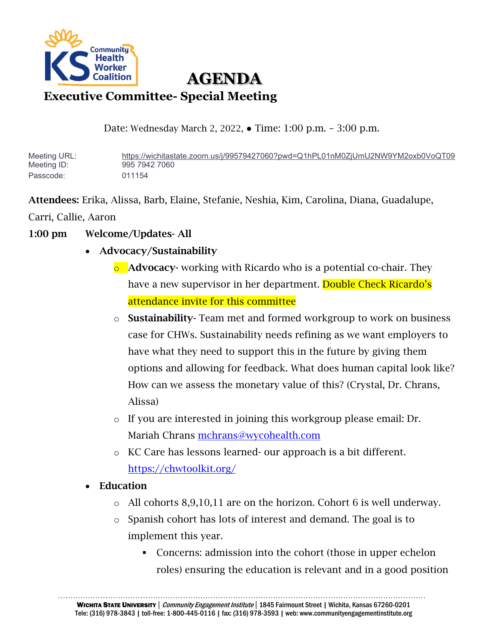

# **AGENDA**

## **Executive Committee- Special Meeting**

Date: Wednesday March 2, 2022, ● Time: 1:00 p.m. – 3:00 p.m.

Meeting URL: <https://wichitastate.zoom.us/j/99579427060?pwd=Q1hPL01nM0ZjUmU2NW9YM2oxb0VoQT09> Meeting ID: 995 7942 7060 Passcode: 011154

Attendees: Erika, Alissa, Barb, Elaine, Stefanie, Neshia, Kim, Carolina, Diana, Guadalupe,

Carri, Callie, Aaron

- 1:00 pm Welcome/Updates- All
	- Advocacy/Sustainability
		- $\circ$  Advocacy-working with Ricardo who is a potential co-chair. They have a new supervisor in her department. Double Check Ricardo's attendance invite for this committee
		- o Sustainability- Team met and formed workgroup to work on business case for CHWs. Sustainability needs refining as we want employers to have what they need to support this in the future by giving them options and allowing for feedback. What does human capital look like? How can we assess the monetary value of this? (Crystal, Dr. Chrans, Alissa)
		- o If you are interested in joining this workgroup please email: Dr. Mariah Chrans [mchrans@wycohealth.com](mailto:mchrans@wycohealth.com)
		- o KC Care has lessons learned- our approach is a bit different. <https://chwtoolkit.org/>
	- Education
		- o All cohorts 8,9,10,11 are on the horizon. Cohort 6 is well underway.
		- o Spanish cohort has lots of interest and demand. The goal is to implement this year.
			- Concerns: admission into the cohort (those in upper echelon roles) ensuring the education is relevant and in a good position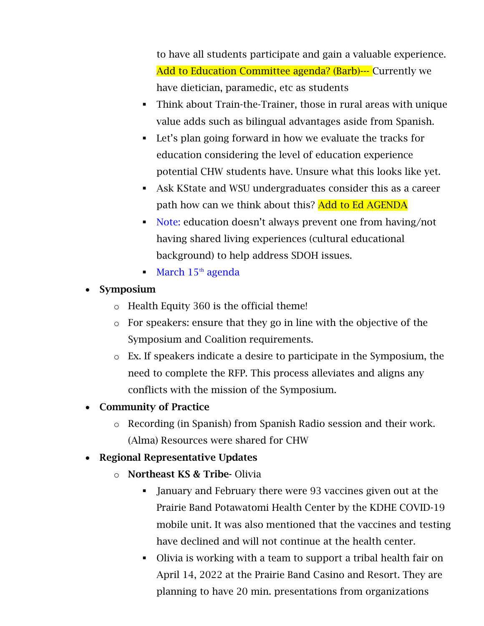to have all students participate and gain a valuable experience. Add to Education Committee agenda? (Barb)--- Currently we have dietician, paramedic, etc as students

- Think about Train-the-Trainer, those in rural areas with unique value adds such as bilingual advantages aside from Spanish.
- Let's plan going forward in how we evaluate the tracks for education considering the level of education experience potential CHW students have. Unsure what this looks like yet.
- Ask KState and WSU undergraduates consider this as a career path how can we think about this? Add to Ed AGENDA
- Note: education doesn't always prevent one from having/not having shared living experiences (cultural educational background) to help address SDOH issues.
- $March 15<sup>th</sup> agenda$

## • Symposium

- o Health Equity 360 is the official theme!
- o For speakers: ensure that they go in line with the objective of the Symposium and Coalition requirements.
- o Ex. If speakers indicate a desire to participate in the Symposium, the need to complete the RFP. This process alleviates and aligns any conflicts with the mission of the Symposium.
- Community of Practice
	- o Recording (in Spanish) from Spanish Radio session and their work. (Alma) Resources were shared for CHW
- Regional Representative Updates
	- o Northeast KS & Tribe- Olivia
		- January and February there were 93 vaccines given out at the Prairie Band Potawatomi Health Center by the KDHE COVID-19 mobile unit. It was also mentioned that the vaccines and testing have declined and will not continue at the health center.
		- Olivia is working with a team to support a tribal health fair on April 14, 2022 at the Prairie Band Casino and Resort. They are planning to have 20 min. presentations from organizations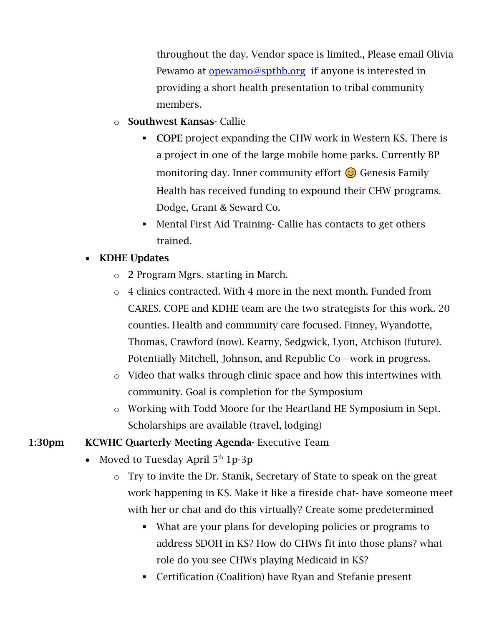throughout the day. Vendor space is limited., Please email Olivia Pewamo at [opewamo@spthb.org](mailto:opewamo@spthb.org) if anyone is interested in providing a short health presentation to tribal community members.

- o Southwest Kansas- Callie
	- COPE project expanding the CHW work in Western KS. There is a project in one of the large mobile home parks. Currently BP monitoring day. Inner community effort  $\odot$  Genesis Family Health has received funding to expound their CHW programs. Dodge, Grant & Seward Co.
	- Mental First Aid Training- Callie has contacts to get others trained.

#### • KDHE Updates

- o 2 Program Mgrs. starting in March.
- o 4 clinics contracted. With 4 more in the next month. Funded from CARES. COPE and KDHE team are the two strategists for this work. 20 counties. Health and community care focused. Finney, Wyandotte, Thomas, Crawford (now). Kearny, Sedgwick, Lyon, Atchison (future). Potentially Mitchell, Johnson, and Republic Co—work in progress.
- o Video that walks through clinic space and how this intertwines with community. Goal is completion for the Symposium
- o Working with Todd Moore for the Heartland HE Symposium in Sept. Scholarships are available (travel, lodging)

#### 1:30pm KCWHC Quarterly Meeting Agenda- Executive Team

- Moved to Tuesday April  $5<sup>th</sup> 1p-3p$ 
	- o Try to invite the Dr. Stanik, Secretary of State to speak on the great work happening in KS. Make it like a fireside chat- have someone meet with her or chat and do this virtually? Create some predetermined
		- What are your plans for developing policies or programs to address SDOH in KS? How do CHWs fit into those plans? what role do you see CHWs playing Medicaid in KS?
		- Certification (Coalition) have Ryan and Stefanie present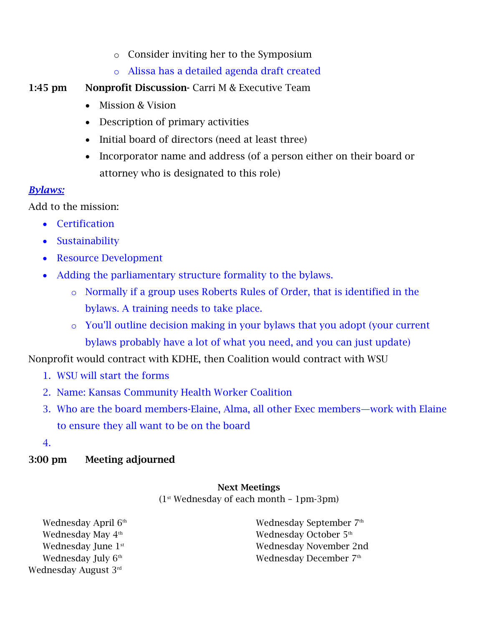- o Consider inviting her to the Symposium
- o Alissa has a detailed agenda draft created
- 1:45 pm Nonprofit Discussion- Carri M & Executive Team
	- Mission & Vision
	- Description of primary activities
	- Initial board of directors (need at least three)
	- Incorporator name and address (of a person either on their board or attorney who is designated to this role)

#### *Bylaws:*

Add to the mission:

- Certification
- Sustainability
- Resource Development
- Adding the parliamentary structure formality to the bylaws.
	- o Normally if a group uses Roberts Rules of Order, that is identified in the bylaws. A training needs to take place.
	- o You'll outline decision making in your bylaws that you adopt (your current bylaws probably have a lot of what you need, and you can just update)

Nonprofit would contract with KDHE, then Coalition would contract with WSU

- 1. WSU will start the forms
- 2. Name: Kansas Community Health Worker Coalition
- 3. Who are the board members-Elaine, Alma, all other Exec members—work with Elaine to ensure they all want to be on the board
- 4.

### 3:00 pm Meeting adjourned

#### Next Meetings

 $(1<sup>st</sup> Wednesday of each month - 1pm-3pm)$ 

Wednesday April 6<sup>th</sup> Wednesday May 4<sup>th</sup> Wednesday June 1<sup>st</sup> Wednesday July 6<sup>th</sup> Wednesday August 3rd

Wednesday September 7th Wednesday October 5<sup>th</sup> Wednesday November 2nd Wednesday December 7<sup>th</sup>